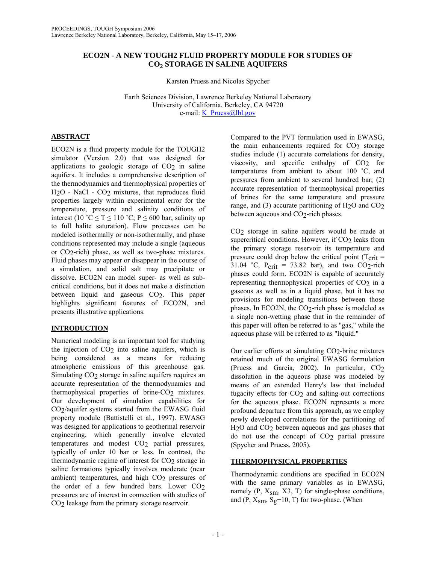## **ECO2N - A NEW TOUGH2 FLUID PROPERTY MODULE FOR STUDIES OF CO2 STORAGE IN SALINE AQUIFERS**

Karsten Pruess and Nicolas Spycher

Earth Sciences Division, Lawrence Berkeley National Laboratory University of California, Berkeley, CA 94720 e-mail: <u>K\_Pruess@lbl.gov</u>

# **ABSTRACT**

ECO2N is a fluid property module for the TOUGH2 simulator (Version 2.0) that was designed for applications to geologic storage of  $CO<sub>2</sub>$  in saline aquifers. It includes a comprehensive description of the thermodynamics and thermophysical properties of H2O - NaCl - CO2 mixtures, that reproduces fluid properties largely within experimental error for the temperature, pressure and salinity conditions of interest (10 °C  $\leq T \leq 110$  °C; P  $\leq 600$  bar; salinity up to full halite saturation). Flow processes can be modeled isothermally or non-isothermally, and phase conditions represented may include a single (aqueous or CO2-rich) phase, as well as two-phase mixtures. Fluid phases may appear or disappear in the course of a simulation, and solid salt may precipitate or dissolve. ECO2N can model super- as well as subcritical conditions, but it does not make a distinction between liquid and gaseous CO<sub>2</sub>. This paper highlights significant features of ECO2N, and presents illustrative applications.

# **INTRODUCTION**

Numerical modeling is an important tool for studying the injection of  $CO<sub>2</sub>$  into saline aquifers, which is being considered as a means for reducing atmospheric emissions of this greenhouse gas. Simulating CO<sub>2</sub> storage in saline aquifers requires an accurate representation of the thermodynamics and thermophysical properties of brine- $CO<sub>2</sub>$  mixtures. Our development of simulation capabilities for  $CO<sub>2</sub>/a$ quifer systems started from the EWASG fluid property module (Battistelli et al., 1997). EWASG was designed for applications to geothermal reservoir engineering, which generally involve elevated temperatures and modest CO<sub>2</sub> partial pressures, typically of order 10 bar or less. In contrast, the thermodynamic regime of interest for  $CO<sub>2</sub>$  storage in saline formations typically involves moderate (near ambient) temperatures, and high CO<sub>2</sub> pressures of the order of a few hundred bars. Lower  $CO<sub>2</sub>$ pressures are of interest in connection with studies of CO<sub>2</sub> leakage from the primary storage reservoir.

Compared to the PVT formulation used in EWASG, the main enhancements required for  $CO<sub>2</sub>$  storage studies include (1) accurate correlations for density, viscosity, and specific enthalpy of  $CO<sub>2</sub>$  for temperatures from ambient to about 100 ˚C, and pressures from ambient to several hundred bar; (2) accurate representation of thermophysical properties of brines for the same temperature and pressure range, and (3) accurate partitioning of  $H<sub>2</sub>O$  and  $CO<sub>2</sub>$ between aqueous and  $CO<sub>2</sub>$ -rich phases.

CO2 storage in saline aquifers would be made at supercritical conditions. However, if CO<sub>2</sub> leaks from the primary storage reservoir its temperature and pressure could drop below the critical point ( $T_{\text{crit}}$  = 31.04 °C,  $P_{\text{crit}}$  = 73.82 bar), and two CO<sub>2</sub>-rich phases could form. ECO2N is capable of accurately representing thermophysical properties of  $CO<sub>2</sub>$  in a gaseous as well as in a liquid phase, but it has no provisions for modeling transitions between those phases. In ECO2N, the  $CO<sub>2</sub>$ -rich phase is modeled as a single non-wetting phase that in the remainder of this paper will often be referred to as "gas," while the aqueous phase will be referred to as "liquid."

Our earlier efforts at simulating  $CO<sub>2</sub>$ -brine mixtures retained much of the original EWASG formulation (Pruess and García, 2002). In particular, CO2 dissolution in the aqueous phase was modeled by means of an extended Henry's law that included fugacity effects for  $CO<sub>2</sub>$  and salting-out corrections for the aqueous phase. ECO2N represents a more profound departure from this approach, as we employ newly developed correlations for the partitioning of  $H<sub>2</sub>O$  and  $CO<sub>2</sub>$  between aqueous and gas phases that do not use the concept of  $CO<sub>2</sub>$  partial pressure (Spycher and Pruess, 2005).

# **THERMOPHYSICAL PROPERTIES**

Thermodynamic conditions are specified in ECO2N with the same primary variables as in EWASG, namely  $(P, X<sub>sm</sub>, X3, T)$  for single-phase conditions, and (P,  $X_{\rm sm}$ ,  $S_{\rm g}$ +10, T) for two-phase. (When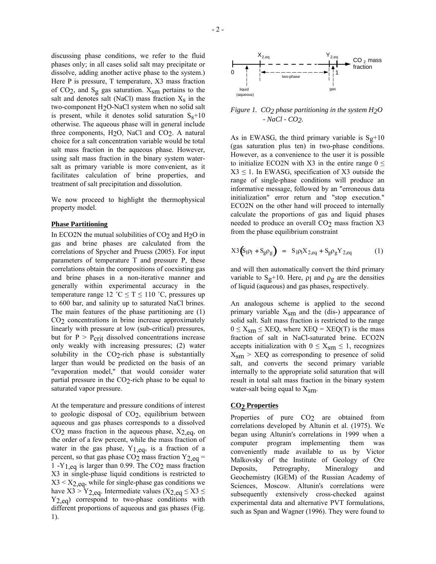discussing phase conditions, we refer to the fluid phases only; in all cases solid salt may precipitate or dissolve, adding another active phase to the system.) Here P is pressure, T temperature, X3 mass fraction of CO<sub>2</sub>, and S<sub>g</sub> gas saturation.  $X_{\rm sm}$  pertains to the salt and denotes salt (NaCl) mass fraction  $X<sub>S</sub>$  in the two-component H2O-NaCl system when no solid salt is present, while it denotes solid saturation  $S_s+10$ otherwise. The aqueous phase will in general include three components, H2O, NaCl and CO2. A natural choice for a salt concentration variable would be total salt mass fraction in the aqueous phase. However, using salt mass fraction in the binary system watersalt as primary variable is more convenient, as it facilitates calculation of brine properties, and treatment of salt precipitation and dissolution.

We now proceed to highlight the thermophysical property model.

### **Phase Partitioning**

In ECO2N the mutual solubilities of  $CO<sub>2</sub>$  and H<sub>2</sub>O in gas and brine phases are calculated from the correlations of Spycher and Pruess (2005). For input parameters of temperature T and pressure P, these correlations obtain the compositions of coexisting gas and brine phases in a non-iterative manner and generally within experimental accuracy in the temperature range 12 °C  $\leq T \leq 110$  °C, pressures up to 600 bar, and salinity up to saturated NaCl brines. The main features of the phase partitioning are (1) CO2 concentrations in brine increase approximately linearly with pressure at low (sub-critical) pressures, but for  $P > P_{\text{crit}}$  dissolved concentrations increase only weakly with increasing pressures; (2) water solubility in the  $CO<sub>2</sub>$ -rich phase is substantially larger than would be predicted on the basis of an "evaporation model," that would consider water partial pressure in the CO2-rich phase to be equal to saturated vapor pressure.

At the temperature and pressure conditions of interest to geologic disposal of CO2, equilibrium between aqueous and gas phases corresponds to a dissolved  $CO<sub>2</sub>$  mass fraction in the aqueous phase,  $X<sub>2,eq</sub>$ , on the order of a few percent, while the mass fraction of water in the gas phase,  $Y_{1,eq}$ , is a fraction of a percent, so that gas phase  $CO<sub>2</sub>$  mass fraction Y<sub>2,eq</sub> = 1 -Y<sub>1,eq</sub> is larger than 0.99. The CO<sub>2</sub> mass fraction X3 in single-phase liquid conditions is restricted to  $X3 < X2_{eq}$ , while for single-phase gas conditions we have  $X3 > Y_{2,eq}$ . Intermediate values ( $X_{2,eq} \le X3 \le$ Y<sub>2,eq</sub>) correspond to two-phase conditions with different proportions of aqueous and gas phases (Fig. 1).



*Figure 1. CO2 phase partitioning in the system H2O - NaCl - CO2.* 

As in EWASG, the third primary variable is  $S_g+10$ (gas saturation plus ten) in two-phase conditions. However, as a convenience to the user it is possible to initialize ECO2N with X3 in the entire range  $0 \le$  $X3 \leq 1$ . In EWASG, specification of X3 outside the range of single-phase conditions will produce an informative message, followed by an "erroneous data initialization" error return and "stop execution." ECO2N on the other hand will proceed to internally calculate the proportions of gas and liquid phases needed to produce an overall CO<sub>2</sub> mass fraction X3 from the phase equilibrium constraint

$$
X3(S1ρ1 + Sgρg) = S1ρ1X2,eq + SgρgY2,eq
$$
 (1)

and will then automatically convert the third primary variable to  $S_g+10$ . Here,  $\rho_1$  and  $\rho_g$  are the densities of liquid (aqueous) and gas phases, respectively.

An analogous scheme is applied to the second primary variable  $X_{\rm sm}$  and the (dis-) appearance of solid salt. Salt mass fraction is restricted to the range  $0 \le X_{\text{sm}} \le XEQ$ , where  $XEQ = XEQ(T)$  is the mass fraction of salt in NaCl-saturated brine. ECO2N accepts initialization with  $0 \leq X_{\rm sm} \leq 1$ , recognizes  $X_{\rm sm}$  > XEQ as corresponding to presence of solid salt, and converts the second primary variable internally to the appropriate solid saturation that will result in total salt mass fraction in the binary system water-salt being equal to  $X_{\rm sm}$ .

### **CO2 Properties**

Properties of pure CO<sub>2</sub> are obtained from correlations developed by Altunin et al. (1975). We began using Altunin's correlations in 1999 when a computer program implementing them was conveniently made available to us by Victor Malkovsky of the Institute of Geology of Ore Deposits, Petrography, Mineralogy and Geochemistry (IGEM) of the Russian Academy of Sciences, Moscow. Altunin's correlations were subsequently extensively cross-checked against experimental data and alternative PVT formulations, such as Span and Wagner (1996). They were found to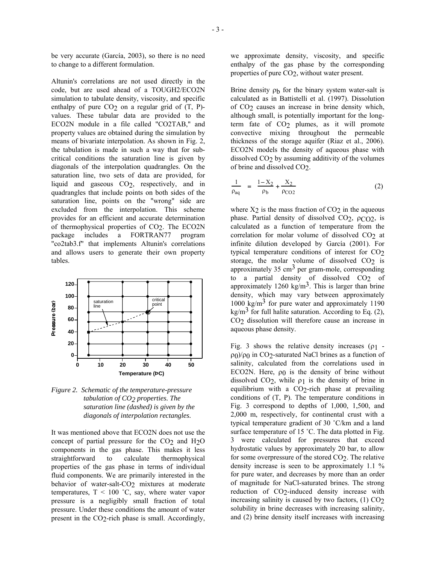be very accurate (García, 2003), so there is no need to change to a different formulation.

Altunin's correlations are not used directly in the code, but are used ahead of a TOUGH2/ECO2N simulation to tabulate density, viscosity, and specific enthalpy of pure  $CO<sub>2</sub>$  on a regular grid of  $(T, P)$ values. These tabular data are provided to the ECO2N module in a file called "CO2TAB," and property values are obtained during the simulation by means of bivariate interpolation. As shown in Fig. 2, the tabulation is made in such a way that for subcritical conditions the saturation line is given by diagonals of the interpolation quadrangles. On the saturation line, two sets of data are provided, for liquid and gaseous CO2, respectively, and in quadrangles that include points on both sides of the saturation line, points on the "wrong" side are excluded from the interpolation. This scheme provides for an efficient and accurate determination of thermophysical properties of CO<sub>2</sub>. The ECO2N<br>package includes a FORTRAN77 program includes a FORTRAN77 program "co2tab3.f" that implements Altunin's correlations and allows users to generate their own property tables.



*Figure 2. Schematic of the temperature-pressure tabulation of CO2 properties. The saturation line (dashed) is given by the diagonals of interpolation rectangles.* 

It was mentioned above that ECO2N does not use the concept of partial pressure for the  $CO<sub>2</sub>$  and  $H<sub>2</sub>O$ components in the gas phase. This makes it less straightforward to calculate thermophysical properties of the gas phase in terms of individual fluid components. We are primarily interested in the behavior of water-salt-CO<sub>2</sub> mixtures at moderate temperatures,  $T < 100$  °C, say, where water vapor pressure is a negligibly small fraction of total pressure. Under these conditions the amount of water present in the CO<sub>2</sub>-rich phase is small. Accordingly,

we approximate density, viscosity, and specific enthalpy of the gas phase by the corresponding properties of pure CO2, without water present.

Brine density  $\rho_b$  for the binary system water-salt is calculated as in Battistelli et al. (1997). Dissolution of CO2 causes an increase in brine density which, although small, is potentially important for the longterm fate of CO<sub>2</sub> plumes, as it will promote convective mixing throughout the permeable thickness of the storage aquifer (Riaz et al., 2006). ECO2N models the density of aqueous phase with dissolved CO2 by assuming additivity of the volumes of brine and dissolved CO2.

$$
\frac{1}{\rho_{aq}} = \frac{1 - X_2}{\rho_b} + \frac{X_2}{\rho_{CO2}}
$$
 (2)

where  $X_2$  is the mass fraction of  $CO<sub>2</sub>$  in the aqueous phase. Partial density of dissolved  $CO<sub>2</sub>$ ,  $\rho CO<sub>2</sub>$ , is calculated as a function of temperature from the correlation for molar volume of dissolved CO<sub>2</sub> at infinite dilution developed by García (2001). For typical temperature conditions of interest for CO<sub>2</sub> storage, the molar volume of dissolved  $CO<sub>2</sub>$  is approximately  $35 \text{ cm}^3$  per gram-mole, corresponding to a partial density of dissolved CO2 of approximately 1260 kg/m<sup>3</sup>. This is larger than brine density, which may vary between approximately 1000 kg/m<sup>3</sup> for pure water and approximately 1190 kg/m<sup>3</sup> for full halite saturation. According to Eq. (2), CO2 dissolution will therefore cause an increase in aqueous phase density.

Fig. 3 shows the relative density increases  $(\rho_1$ ρ0)/ρ0 in CO2-saturated NaCl brines as a function of salinity, calculated from the correlations used in ECO2N. Here,  $\rho_0$  is the density of brine without dissolved CO2, while ρ1 is the density of brine in equilibrium with a CO2-rich phase at prevailing conditions of (T, P). The temperature conditions in Fig. 3 correspond to depths of 1,000, 1,500, and 2,000 m, respectively, for continental crust with a typical temperature gradient of 30 ˚C/km and a land surface temperature of 15 °C. The data plotted in Fig. 3 were calculated for pressures that exceed hydrostatic values by approximately 20 bar, to allow for some overpressure of the stored CO2. The relative density increase is seen to be approximately 1.1 % for pure water, and decreases by more than an order of magnitude for NaCl-saturated brines. The strong reduction of CO2-induced density increase with increasing salinity is caused by two factors,  $(1)$  CO<sub>2</sub> solubility in brine decreases with increasing salinity, and (2) brine density itself increases with increasing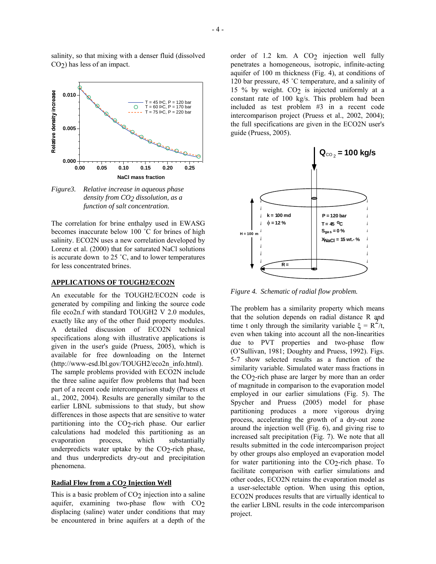salinity, so that mixing with a denser fluid (dissolved CO2) has less of an impact.



*Figure3. Relative increase in aqueous phase density from CO2 dissolution, as a function of salt concentration.*

The correlation for brine enthalpy used in EWASG becomes inaccurate below 100 ˚C for brines of high salinity. ECO2N uses a new correlation developed by Lorenz et al. (2000) that for saturated NaCl solutions is accurate down to 25 ˚C, and to lower temperatures for less concentrated brines.

## **APPLICATIONS OF TOUGH2/ECO2N**

An executable for the TOUGH2/ECO2N code is generated by compiling and linking the source code file eco2n.f with standard TOUGH2 V 2.0 modules, exactly like any of the other fluid property modules. A detailed discussion of ECO2N technical specifications along with illustrative applications is given in the user's guide (Pruess, 2005), which is available for free downloading on the Internet (http://www-esd.lbl.gov/TOUGH2/eco2n\_info.html). The sample problems provided with ECO2N include the three saline aquifer flow problems that had been part of a recent code intercomparison study (Pruess et al., 2002, 2004). Results are generally similar to the earlier LBNL submissions to that study, but show differences in those aspects that are sensitive to water partitioning into the CO<sub>2</sub>-rich phase. Our earlier calculations had modeled this partitioning as an evaporation process, which substantially underpredicts water uptake by the  $CO<sub>2</sub>$ -rich phase, and thus underpredicts dry-out and precipitation phenomena.

### **Radial Flow from a CO<sub>2</sub> Injection Well**

This is a basic problem of  $CO<sub>2</sub>$  injection into a saline aquifer, examining two-phase flow with CO2 displacing (saline) water under conditions that may be encountered in brine aquifers at a depth of the

order of 1.2 km. A CO<sub>2</sub> injection well fully penetrates a homogeneous, isotropic, infinite-acting aquifer of 100 m thickness (Fig. 4), at conditions of 120 bar pressure, 45 ˚C temperature, and a salinity of 15 % by weight. CO2 is injected uniformly at a constant rate of 100 kg/s. This problem had been included as test problem #3 in a recent code intercomparison project (Pruess et al., 2002, 2004); the full specifications are given in the ECO2N user's guide (Pruess, 2005).



*Figure 4. Schematic of radial flow problem.*

The problem has a similarity property which means that the solution depends on radial distance R and time t only through the similarity variable  $\xi = R^2/t$ , even when taking into account all the non-linearities due to PVT properties and two-phase flow (O'Sullivan, 1981; Doughty and Pruess, 1992). Figs. 5-7 show selected results as a function of the similarity variable. Simulated water mass fractions in the CO2-rich phase are larger by more than an order of magnitude in comparison to the evaporation model employed in our earlier simulations (Fig. 5). The Spycher and Pruess (2005) model for phase partitioning produces a more vigorous drying process, accelerating the growth of a dry-out zone around the injection well (Fig. 6), and giving rise to increased salt precipitation (Fig. 7). We note that all results submitted in the code intercomparison project by other groups also employed an evaporation model for water partitioning into the CO2-rich phase. To facilitate comparison with earlier simulations and other codes, ECO2N retains the evaporation model as a user-selectable option. When using this option, ECO2N produces results that are virtually identical to the earlier LBNL results in the code intercomparison project.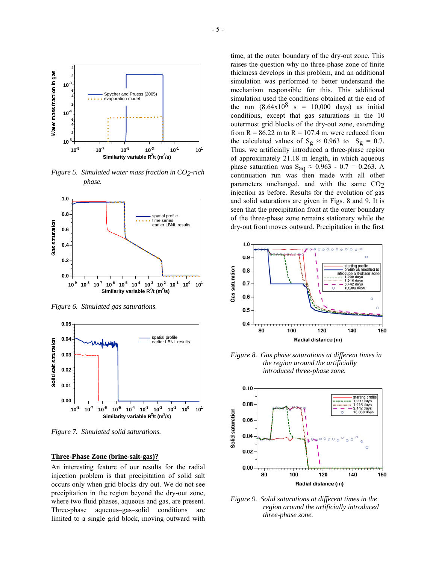

*Figure 5. Simulated water mass fraction in CO2-rich phase.*



*Figure 6. Simulated gas saturations.* 



*Figure 7. Simulated solid saturations.* 

#### **Three-Phase Zone (brine-salt-gas)?**

An interesting feature of our results for the radial injection problem is that precipitation of solid salt occurs only when grid blocks dry out. We do not see precipitation in the region beyond the dry-out zone, where two fluid phases, aqueous and gas, are present. Three-phase aqueous–gas–solid conditions are limited to a single grid block, moving outward with

time, at the outer boundary of the dry-out zone. This raises the question why no three-phase zone of finite thickness develops in this problem, and an additional simulation was performed to better understand the mechanism responsible for this. This additional simulation used the conditions obtained at the end of the run  $(8.64 \times 10^8 \text{ s} = 10,000 \text{ days})$  as initial conditions, except that gas saturations in the 10 outermost grid blocks of the dry-out zone, extending from  $R = 86.22$  m to  $R = 107.4$  m, were reduced from the calculated values of S<sub>g</sub>  $\approx$  0.963 to S<sub>g</sub> = 0.7. Thus, we artificially introduced a three-phase region of approximately 21.18 m length, in which aqueous phase saturation was S<sub>aq</sub>  $\approx 0.963 - 0.7 = 0.263$ . A continuation run was then made with all other parameters unchanged, and with the same CO2 injection as before. Results for the evolution of gas and solid saturations are given in Figs. 8 and 9. It is seen that the precipitation front at the outer boundary of the three-phase zone remains stationary while the dry-out front moves outward. Precipitation in the first



*Figure 8. Gas phase saturations at different times in the region around the artificially introduced three-phase zone.*



*Figure 9. Solid saturations at different times in the region around the artificially introduced three-phase zone.*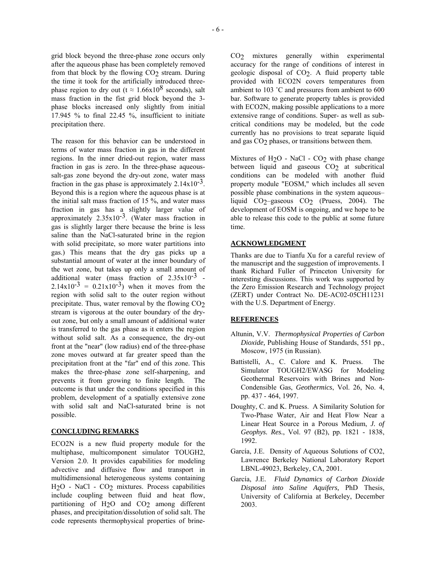grid block beyond the three-phase zone occurs only after the aqueous phase has been completely removed from that block by the flowing CO<sub>2</sub> stream. During the time it took for the artificially introduced threephase region to dry out (t  $\approx 1.66x10^8$  seconds), salt mass fraction in the fist grid block beyond the 3 phase blocks increased only slightly from initial 17.945 % to final 22.45 %, insufficient to initiate precipitation there.

The reason for this behavior can be understood in terms of water mass fraction in gas in the different regions. In the inner dried-out region, water mass fraction in gas is zero. In the three-phase aqueoussalt-gas zone beyond the dry-out zone, water mass fraction in the gas phase is approximately  $2.14x10^{-3}$ . Beyond this is a region where the aqueous phase is at the initial salt mass fraction of 15 %, and water mass fraction in gas has a slightly larger value of approximately  $2.35 \times 10^{-3}$ . (Water mass fraction in gas is slightly larger there because the brine is less saline than the NaCl-saturated brine in the region with solid precipitate, so more water partitions into gas.) This means that the dry gas picks up a substantial amount of water at the inner boundary of the wet zone, but takes up only a small amount of additional water (mass fraction of  $2.35 \times 10^{-3}$  - $2.14x10^{-3} = 0.21x10^{-3}$  when it moves from the region with solid salt to the outer region without precipitate. Thus, water removal by the flowing  $CO<sub>2</sub>$ stream is vigorous at the outer boundary of the dryout zone, but only a small amount of additional water is transferred to the gas phase as it enters the region without solid salt. As a consequence, the dry-out front at the "near" (low radius) end of the three-phase zone moves outward at far greater speed than the precipitation front at the "far" end of this zone. This makes the three-phase zone self-sharpening, and prevents it from growing to finite length. The outcome is that under the conditions specified in this problem, development of a spatially extensive zone with solid salt and NaCl-saturated brine is not possible.

## **CONCLUDING REMARKS**

ECO2N is a new fluid property module for the multiphase, multicomponent simulator TOUGH2, Version 2.0. It provides capabilities for modeling advective and diffusive flow and transport in multidimensional heterogeneous systems containing H<sub>2</sub>O - NaCl - CO<sub>2</sub> mixtures. Process capabilities include coupling between fluid and heat flow, partitioning of H<sub>2</sub>O and CO<sub>2</sub> among different phases, and precipitation/dissolution of solid salt. The code represents thermophysical properties of brineCO2 mixtures generally within experimental accuracy for the range of conditions of interest in geologic disposal of CO2. A fluid property table provided with ECO2N covers temperatures from ambient to 103 ˚C and pressures from ambient to 600 bar. Software to generate property tables is provided with ECO2N, making possible applications to a more extensive range of conditions. Super- as well as subcritical conditions may be modeled, but the code currently has no provisions to treat separate liquid and gas CO2 phases, or transitions between them.

Mixtures of H<sub>2</sub>O - NaCl - CO<sub>2</sub> with phase change between liquid and gaseous CO<sub>2</sub> at subcritical conditions can be modeled with another fluid property module "EOSM," which includes all seven possible phase combinations in the system aqueous– liquid CO<sub>2</sub>–gaseous CO<sub>2</sub> (Pruess, 2004). The development of EOSM is ongoing, and we hope to be able to release this code to the public at some future time.

## **ACKNOWLEDGMENT**

Thanks are due to Tianfu Xu for a careful review of the manuscript and the suggestion of improvements. I thank Richard Fuller of Princeton University for interesting discussions. This work was supported by the Zero Emission Research and Technology project (ZERT) under Contract No. DE-AC02-05CH11231 with the U.S. Department of Energy.

### **REFERENCES**

- Altunin, V.V. *Thermophysical Properties of Carbon Dioxide,* Publishing House of Standards, 551 pp., Moscow, 1975 (in Russian).
- Battistelli, A., C. Calore and K. Pruess. The Simulator TOUGH2/EWASG for Modeling Geothermal Reservoirs with Brines and Non-Condensible Gas, *Geothermics*, Vol. 26, No. 4, pp. 437 - 464, 1997.
- Doughty, C. and K. Pruess. A Similarity Solution for Two-Phase Water, Air and Heat Flow Near a Linear Heat Source in a Porous Medium, *J. of Geophys. Res.*, Vol. 97 (B2), pp. 1821 - 1838, 1992.
- García, J.E. Density of Aqueous Solutions of CO2, Lawrence Berkeley National Laboratory Report LBNL-49023, Berkeley, CA, 2001.
- García, J.E. *Fluid Dynamics of Carbon Dioxide Disposal into Saline Aquifers,* PhD Thesis, University of California at Berkeley, December 2003.